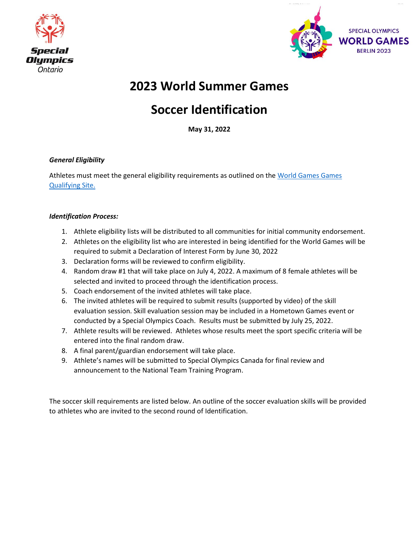



# **2023 World Summer Games**

# **Soccer Identification**

**May 31, 2022**

#### *General Eligibility*

Athletes must meet the general eligibility requirements as outlined on th[e World Games Games](https://www1.specialolympicsontario.com/games/2023-world-games-qualifying/)  [Qualifying Site.](https://www1.specialolympicsontario.com/games/2023-world-games-qualifying/)

#### *Identification Process:*

- 1. Athlete eligibility lists will be distributed to all communities for initial community endorsement.
- 2. Athletes on the eligibility list who are interested in being identified for the World Games will be required to submit a Declaration of Interest Form by June 30, 2022
- 3. Declaration forms will be reviewed to confirm eligibility.
- 4. Random draw #1 that will take place on July 4, 2022. A maximum of 8 female athletes will be selected and invited to proceed through the identification process.
- 5. Coach endorsement of the invited athletes will take place.
- 6. The invited athletes will be required to submit results (supported by video) of the skill evaluation session. Skill evaluation session may be included in a Hometown Games event or conducted by a Special Olympics Coach. Results must be submitted by July 25, 2022.
- 7. Athlete results will be reviewed. Athletes whose results meet the sport specific criteria will be entered into the final random draw.
- 8. A final parent/guardian endorsement will take place.
- 9. Athlete's names will be submitted to Special Olympics Canada for final review and announcement to the National Team Training Program.

The soccer skill requirements are listed below. An outline of the soccer evaluation skills will be provided to athletes who are invited to the second round of Identification.